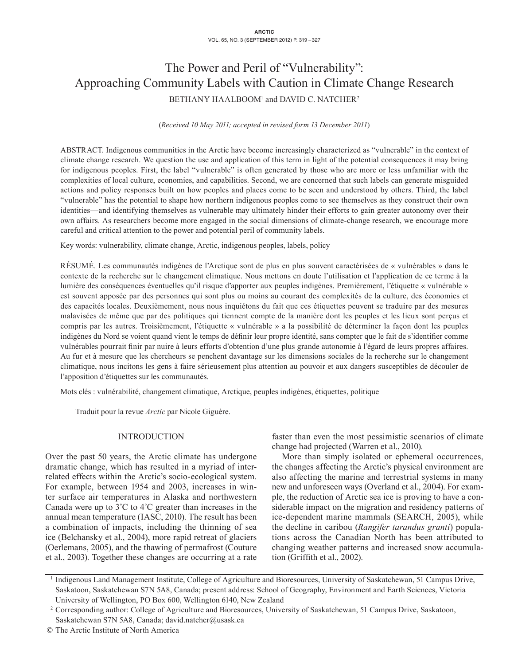# The Power and Peril of "Vulnerability": Approaching Community Labels with Caution in Climate Change Research BETHANY HAALBOOM<sup>1</sup> and DAVID C. NATCHER<sup>2</sup>

(*Received 10 May 2011; accepted in revised form 13 December 2011*)

ABSTRACT. Indigenous communities in the Arctic have become increasingly characterized as "vulnerable" in the context of climate change research. We question the use and application of this term in light of the potential consequences it may bring for indigenous peoples. First, the label "vulnerable" is often generated by those who are more or less unfamiliar with the complexities of local culture, economies, and capabilities. Second, we are concerned that such labels can generate misguided actions and policy responses built on how peoples and places come to be seen and understood by others. Third, the label "vulnerable" has the potential to shape how northern indigenous peoples come to see themselves as they construct their own identities—and identifying themselves as vulnerable may ultimately hinder their efforts to gain greater autonomy over their own affairs. As researchers become more engaged in the social dimensions of climate-change research, we encourage more careful and critical attention to the power and potential peril of community labels.

Key words: vulnerability, climate change, Arctic, indigenous peoples, labels, policy

RÉSUMÉ. Les communautés indigènes de l'Arctique sont de plus en plus souvent caractérisées de « vulnérables » dans le contexte de la recherche sur le changement climatique. Nous mettons en doute l'utilisation et l'application de ce terme à la lumière des conséquences éventuelles qu'il risque d'apporter aux peuples indigènes. Premièrement, l'étiquette « vulnérable » est souvent apposée par des personnes qui sont plus ou moins au courant des complexités de la culture, des économies et des capacités locales. Deuxièmement, nous nous inquiétons du fait que ces étiquettes peuvent se traduire par des mesures malavisées de même que par des politiques qui tiennent compte de la manière dont les peuples et les lieux sont perçus et compris par les autres. Troisièmement, l'étiquette « vulnérable » a la possibilité de déterminer la façon dont les peuples indigènes du Nord se voient quand vient le temps de définir leur propre identité, sans compter que le fait de s'identifier comme vulnérables pourrait finir par nuire à leurs efforts d'obtention d'une plus grande autonomie à l'égard de leurs propres affaires. Au fur et à mesure que les chercheurs se penchent davantage sur les dimensions sociales de la recherche sur le changement climatique, nous incitons les gens à faire sérieusement plus attention au pouvoir et aux dangers susceptibles de découler de l'apposition d'étiquettes sur les communautés.

Mots clés : vulnérabilité, changement climatique, Arctique, peuples indigènes, étiquettes, politique

Traduit pour la revue *Arctic* par Nicole Giguère.

## INTRODUCTION

Over the past 50 years, the Arctic climate has undergone dramatic change, which has resulted in a myriad of interrelated effects within the Arctic's socio-ecological system. For example, between 1954 and 2003, increases in winter surface air temperatures in Alaska and northwestern Canada were up to 3˚C to 4˚C greater than increases in the annual mean temperature (IASC, 2010). The result has been a combination of impacts, including the thinning of sea ice (Belchansky et al., 2004), more rapid retreat of glaciers (Oerlemans, 2005), and the thawing of permafrost (Couture et al., 2003). Together these changes are occurring at a rate faster than even the most pessimistic scenarios of climate change had projected (Warren et al., 2010).

More than simply isolated or ephemeral occurrences, the changes affecting the Arctic's physical environment are also affecting the marine and terrestrial systems in many new and unforeseen ways (Overland et al., 2004). For example, the reduction of Arctic sea ice is proving to have a considerable impact on the migration and residency patterns of ice-dependent marine mammals (SEARCH, 2005), while the decline in caribou (*Rangifer tarandus granti*) populations across the Canadian North has been attributed to changing weather patterns and increased snow accumulation (Griffith et al., 2002).

<sup>1</sup> Indigenous Land Management Institute, College of Agriculture and Bioresources, University of Saskatchewan, 51 Campus Drive, Saskatoon, Saskatchewan S7N 5A8, Canada; present address: School of Geography, Environment and Earth Sciences, Victoria University of Wellington, PO Box 600, Wellington 6140, New Zealand

<sup>2</sup> Corresponding author: College of Agriculture and Bioresources, University of Saskatchewan, 51 Campus Drive, Saskatoon, Saskatchewan S7N 5A8, Canada; david.natcher@usask.ca

<sup>©</sup> The Arctic Institute of North America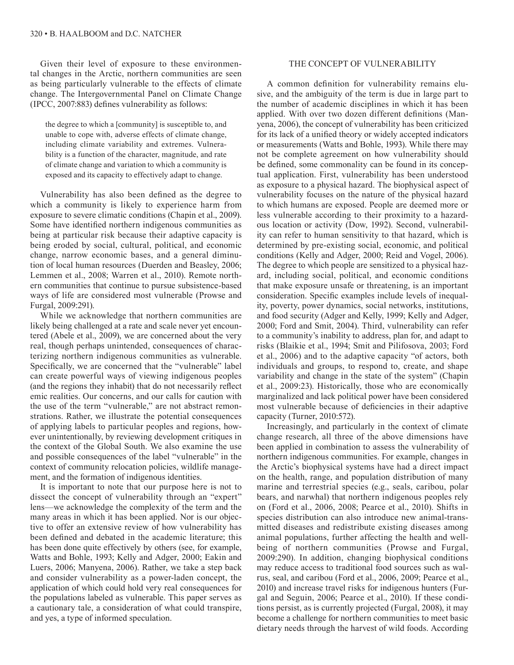Given their level of exposure to these environmental changes in the Arctic, northern communities are seen as being particularly vulnerable to the effects of climate change. The Intergovernmental Panel on Climate Change (IPCC, 2007:883) defines vulnerability as follows:

the degree to which a [community] is susceptible to, and unable to cope with, adverse effects of climate change, including climate variability and extremes. Vulnerability is a function of the character, magnitude, and rate of climate change and variation to which a community is exposed and its capacity to effectively adapt to change.

Vulnerability has also been defined as the degree to which a community is likely to experience harm from exposure to severe climatic conditions (Chapin et al., 2009). Some have identified northern indigenous communities as being at particular risk because their adaptive capacity is being eroded by social, cultural, political, and economic change, narrow economic bases, and a general diminution of local human resources (Duerden and Beasley, 2006; Lemmen et al., 2008; Warren et al., 2010). Remote northern communities that continue to pursue subsistence-based ways of life are considered most vulnerable (Prowse and Furgal, 2009:291).

While we acknowledge that northern communities are likely being challenged at a rate and scale never yet encountered (Abele et al., 2009), we are concerned about the very real, though perhaps unintended, consequences of characterizing northern indigenous communities as vulnerable. Specifically, we are concerned that the "vulnerable" label can create powerful ways of viewing indigenous peoples (and the regions they inhabit) that do not necessarily reflect emic realities. Our concerns, and our calls for caution with the use of the term "vulnerable," are not abstract remonstrations. Rather, we illustrate the potential consequences of applying labels to particular peoples and regions, however unintentionally, by reviewing development critiques in the context of the Global South. We also examine the use and possible consequences of the label "vulnerable" in the context of community relocation policies, wildlife management, and the formation of indigenous identities.

It is important to note that our purpose here is not to dissect the concept of vulnerability through an "expert" lens—we acknowledge the complexity of the term and the many areas in which it has been applied. Nor is our objective to offer an extensive review of how vulnerability has been defined and debated in the academic literature; this has been done quite effectively by others (see, for example, Watts and Bohle, 1993; Kelly and Adger, 2000; Eakin and Luers, 2006; Manyena, 2006). Rather, we take a step back and consider vulnerability as a power-laden concept, the application of which could hold very real consequences for the populations labeled as vulnerable. This paper serves as a cautionary tale, a consideration of what could transpire, and yes, a type of informed speculation.

## THE CONCEPT OF VULNERABILITY

A common definition for vulnerability remains elusive, and the ambiguity of the term is due in large part to the number of academic disciplines in which it has been applied. With over two dozen different definitions (Manyena, 2006), the concept of vulnerability has been criticized for its lack of a unified theory or widely accepted indicators or measurements (Watts and Bohle, 1993). While there may not be complete agreement on how vulnerability should be defined, some commonality can be found in its conceptual application. First, vulnerability has been understood as exposure to a physical hazard. The biophysical aspect of vulnerability focuses on the nature of the physical hazard to which humans are exposed. People are deemed more or less vulnerable according to their proximity to a hazardous location or activity (Dow, 1992). Second, vulnerability can refer to human sensitivity to that hazard, which is determined by pre-existing social, economic, and political conditions (Kelly and Adger, 2000; Reid and Vogel, 2006). The degree to which people are sensitized to a physical hazard, including social, political, and economic conditions that make exposure unsafe or threatening, is an important consideration. Specific examples include levels of inequality, poverty, power dynamics, social networks, institutions, and food security (Adger and Kelly, 1999; Kelly and Adger, 2000; Ford and Smit, 2004). Third, vulnerability can refer to a community's inability to address, plan for, and adapt to risks (Blaikie et al., 1994; Smit and Pilifosova, 2003; Ford et al., 2006) and to the adaptive capacity "of actors, both individuals and groups, to respond to, create, and shape variability and change in the state of the system" (Chapin et al., 2009:23). Historically, those who are economically marginalized and lack political power have been considered most vulnerable because of deficiencies in their adaptive capacity (Turner, 2010:572).

Increasingly, and particularly in the context of climate change research, all three of the above dimensions have been applied in combination to assess the vulnerability of northern indigenous communities. For example, changes in the Arctic's biophysical systems have had a direct impact on the health, range, and population distribution of many marine and terrestrial species (e.g., seals, caribou, polar bears, and narwhal) that northern indigenous peoples rely on (Ford et al., 2006, 2008; Pearce et al., 2010). Shifts in species distribution can also introduce new animal-transmitted diseases and redistribute existing diseases among animal populations, further affecting the health and wellbeing of northern communities (Prowse and Furgal, 2009:290). In addition, changing biophysical conditions may reduce access to traditional food sources such as walrus, seal, and caribou (Ford et al., 2006, 2009; Pearce et al., 2010) and increase travel risks for indigenous hunters (Furgal and Seguin, 2006; Pearce et al., 2010). If these conditions persist, as is currently projected (Furgal, 2008), it may become a challenge for northern communities to meet basic dietary needs through the harvest of wild foods. According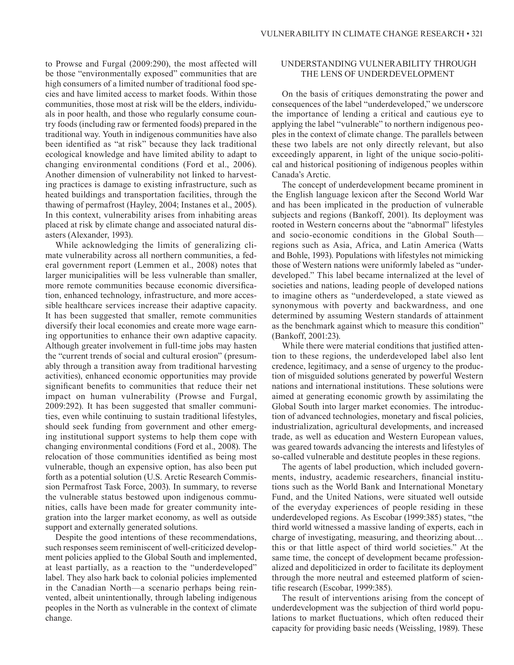to Prowse and Furgal (2009:290), the most affected will be those "environmentally exposed" communities that are high consumers of a limited number of traditional food species and have limited access to market foods. Within those communities, those most at risk will be the elders, individuals in poor health, and those who regularly consume country foods (including raw or fermented foods) prepared in the traditional way. Youth in indigenous communities have also been identified as "at risk" because they lack traditional ecological knowledge and have limited ability to adapt to changing environmental conditions (Ford et al., 2006). Another dimension of vulnerability not linked to harvesting practices is damage to existing infrastructure, such as heated buildings and transportation facilities, through the thawing of permafrost (Hayley, 2004; Instanes et al., 2005). In this context, vulnerability arises from inhabiting areas placed at risk by climate change and associated natural disasters (Alexander, 1993).

While acknowledging the limits of generalizing climate vulnerability across all northern communities, a federal government report (Lemmen et al., 2008) notes that larger municipalities will be less vulnerable than smaller, more remote communities because economic diversification, enhanced technology, infrastructure, and more accessible healthcare services increase their adaptive capacity. It has been suggested that smaller, remote communities diversify their local economies and create more wage earning opportunities to enhance their own adaptive capacity. Although greater involvement in full-time jobs may hasten the "current trends of social and cultural erosion" (presumably through a transition away from traditional harvesting activities), enhanced economic opportunities may provide significant benefits to communities that reduce their net impact on human vulnerability (Prowse and Furgal, 2009:292). It has been suggested that smaller communities, even while continuing to sustain traditional lifestyles, should seek funding from government and other emerging institutional support systems to help them cope with changing environmental conditions (Ford et al., 2008). The relocation of those communities identified as being most vulnerable, though an expensive option, has also been put forth as a potential solution (U.S. Arctic Research Commission Permafrost Task Force, 2003). In summary, to reverse the vulnerable status bestowed upon indigenous communities, calls have been made for greater community integration into the larger market economy, as well as outside support and externally generated solutions.

Despite the good intentions of these recommendations, such responses seem reminiscent of well-criticized development policies applied to the Global South and implemented, at least partially, as a reaction to the "underdeveloped" label. They also hark back to colonial policies implemented in the Canadian North—a scenario perhaps being reinvented, albeit unintentionally, through labeling indigenous peoples in the North as vulnerable in the context of climate change.

## UNDERSTANDING VULNERABILITY THROUGH THE LENS OF UNDERDEVELOPMENT

On the basis of critiques demonstrating the power and consequences of the label "underdeveloped," we underscore the importance of lending a critical and cautious eye to applying the label "vulnerable" to northern indigenous peoples in the context of climate change. The parallels between these two labels are not only directly relevant, but also exceedingly apparent, in light of the unique socio-political and historical positioning of indigenous peoples within Canada's Arctic.

The concept of underdevelopment became prominent in the English language lexicon after the Second World War and has been implicated in the production of vulnerable subjects and regions (Bankoff, 2001). Its deployment was rooted in Western concerns about the "abnormal" lifestyles and socio-economic conditions in the Global South regions such as Asia, Africa, and Latin America (Watts and Bohle, 1993). Populations with lifestyles not mimicking those of Western nations were uniformly labeled as "underdeveloped." This label became internalized at the level of societies and nations, leading people of developed nations to imagine others as "underdeveloped, a state viewed as synonymous with poverty and backwardness, and one determined by assuming Western standards of attainment as the benchmark against which to measure this condition" (Bankoff, 2001:23).

While there were material conditions that justified attention to these regions, the underdeveloped label also lent credence, legitimacy, and a sense of urgency to the production of misguided solutions generated by powerful Western nations and international institutions. These solutions were aimed at generating economic growth by assimilating the Global South into larger market economies. The introduction of advanced technologies, monetary and fiscal policies, industrialization, agricultural developments, and increased trade, as well as education and Western European values, was geared towards advancing the interests and lifestyles of so-called vulnerable and destitute peoples in these regions.

The agents of label production, which included governments, industry, academic researchers, financial institutions such as the World Bank and International Monetary Fund, and the United Nations, were situated well outside of the everyday experiences of people residing in these underdeveloped regions. As Escobar (1999:385) states, "the third world witnessed a massive landing of experts, each in charge of investigating, measuring, and theorizing about… this or that little aspect of third world societies." At the same time, the concept of development became professionalized and depoliticized in order to facilitate its deployment through the more neutral and esteemed platform of scientific research (Escobar, 1999:385).

The result of interventions arising from the concept of underdevelopment was the subjection of third world populations to market fluctuations, which often reduced their capacity for providing basic needs (Weissling, 1989). These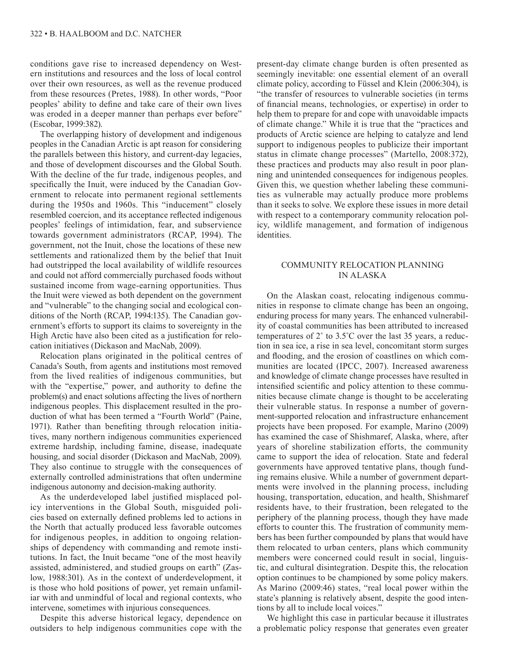conditions gave rise to increased dependency on Western institutions and resources and the loss of local control over their own resources, as well as the revenue produced from these resources (Pretes, 1988). In other words, "Poor peoples' ability to define and take care of their own lives was eroded in a deeper manner than perhaps ever before" (Escobar, 1999:382).

The overlapping history of development and indigenous peoples in the Canadian Arctic is apt reason for considering the parallels between this history, and current-day legacies, and those of development discourses and the Global South. With the decline of the fur trade, indigenous peoples, and specifically the Inuit, were induced by the Canadian Government to relocate into permanent regional settlements during the 1950s and 1960s. This "inducement" closely resembled coercion, and its acceptance reflected indigenous peoples' feelings of intimidation, fear, and subservience towards government administrators (RCAP, 1994). The government, not the Inuit, chose the locations of these new settlements and rationalized them by the belief that Inuit had outstripped the local availability of wildlife resources and could not afford commercially purchased foods without sustained income from wage-earning opportunities. Thus the Inuit were viewed as both dependent on the government and "vulnerable" to the changing social and ecological conditions of the North (RCAP, 1994:135). The Canadian government's efforts to support its claims to sovereignty in the High Arctic have also been cited as a justification for relocation initiatives (Dickason and MacNab, 2009).

Relocation plans originated in the political centres of Canada's South, from agents and institutions most removed from the lived realities of indigenous communities, but with the "expertise," power, and authority to define the problem(s) and enact solutions affecting the lives of northern indigenous peoples. This displacement resulted in the production of what has been termed a "Fourth World" (Paine, 1971). Rather than benefiting through relocation initiatives, many northern indigenous communities experienced extreme hardship, including famine, disease, inadequate housing, and social disorder (Dickason and MacNab, 2009). They also continue to struggle with the consequences of externally controlled administrations that often undermine indigenous autonomy and decision-making authority.

As the underdeveloped label justified misplaced policy interventions in the Global South, misguided policies based on externally defined problems led to actions in the North that actually produced less favorable outcomes for indigenous peoples, in addition to ongoing relationships of dependency with commanding and remote institutions. In fact, the Inuit became "one of the most heavily assisted, administered, and studied groups on earth" (Zaslow, 1988:301). As in the context of underdevelopment, it is those who hold positions of power, yet remain unfamiliar with and unmindful of local and regional contexts, who intervene, sometimes with injurious consequences.

Despite this adverse historical legacy, dependence on outsiders to help indigenous communities cope with the

present-day climate change burden is often presented as seemingly inevitable: one essential element of an overall climate policy, according to Füssel and Klein (2006:304), is "the transfer of resources to vulnerable societies (in terms of financial means, technologies, or expertise) in order to help them to prepare for and cope with unavoidable impacts of climate change." While it is true that the "practices and products of Arctic science are helping to catalyze and lend support to indigenous peoples to publicize their important status in climate change processes" (Martello, 2008:372), these practices and products may also result in poor planning and unintended consequences for indigenous peoples. Given this, we question whether labeling these communities as vulnerable may actually produce more problems than it seeks to solve. We explore these issues in more detail with respect to a contemporary community relocation policy, wildlife management, and formation of indigenous identities.

# COMMUNITY RELOCATION PLANNING IN ALASKA

On the Alaskan coast, relocating indigenous communities in response to climate change has been an ongoing, enduring process for many years. The enhanced vulnerability of coastal communities has been attributed to increased temperatures of 2˚ to 3.5˚C over the last 35 years, a reduction in sea ice, a rise in sea level, concomitant storm surges and flooding, and the erosion of coastlines on which communities are located (IPCC, 2007). Increased awareness and knowledge of climate change processes have resulted in intensified scientific and policy attention to these communities because climate change is thought to be accelerating their vulnerable status. In response a number of government-supported relocation and infrastructure enhancement projects have been proposed. For example, Marino (2009) has examined the case of Shishmaref, Alaska, where, after years of shoreline stabilization efforts, the community came to support the idea of relocation. State and federal governments have approved tentative plans, though funding remains elusive. While a number of government departments were involved in the planning process, including housing, transportation, education, and health, Shishmaref residents have, to their frustration, been relegated to the periphery of the planning process, though they have made efforts to counter this. The frustration of community members has been further compounded by plans that would have them relocated to urban centers, plans which community members were concerned could result in social, linguistic, and cultural disintegration. Despite this, the relocation option continues to be championed by some policy makers. As Marino (2009:46) states, "real local power within the state's planning is relatively absent, despite the good intentions by all to include local voices."

We highlight this case in particular because it illustrates a problematic policy response that generates even greater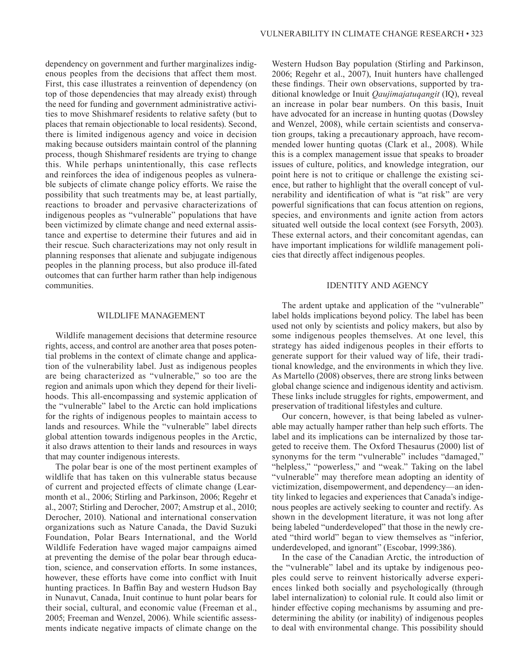dependency on government and further marginalizes indigenous peoples from the decisions that affect them most. First, this case illustrates a reinvention of dependency (on top of those dependencies that may already exist) through the need for funding and government administrative activities to move Shishmaref residents to relative safety (but to places that remain objectionable to local residents). Second, there is limited indigenous agency and voice in decision making because outsiders maintain control of the planning process, though Shishmaref residents are trying to change this. While perhaps unintentionally, this case reflects and reinforces the idea of indigenous peoples as vulnerable subjects of climate change policy efforts. We raise the possibility that such treatments may be, at least partially, reactions to broader and pervasive characterizations of indigenous peoples as "vulnerable" populations that have been victimized by climate change and need external assistance and expertise to determine their futures and aid in their rescue. Such characterizations may not only result in planning responses that alienate and subjugate indigenous peoples in the planning process, but also produce ill-fated outcomes that can further harm rather than help indigenous communities.

## WILDLIFE MANAGEMENT

Wildlife management decisions that determine resource rights, access, and control are another area that poses potential problems in the context of climate change and application of the vulnerability label. Just as indigenous peoples are being characterized as "vulnerable," so too are the region and animals upon which they depend for their livelihoods. This all-encompassing and systemic application of the "vulnerable" label to the Arctic can hold implications for the rights of indigenous peoples to maintain access to lands and resources. While the "vulnerable" label directs global attention towards indigenous peoples in the Arctic, it also draws attention to their lands and resources in ways that may counter indigenous interests.

The polar bear is one of the most pertinent examples of wildlife that has taken on this vulnerable status because of current and projected effects of climate change (Learmonth et al., 2006; Stirling and Parkinson, 2006; Regehr et al., 2007; Stirling and Derocher, 2007; Amstrup et al., 2010; Derocher, 2010). National and international conservation organizations such as Nature Canada, the David Suzuki Foundation, Polar Bears International, and the World Wildlife Federation have waged major campaigns aimed at preventing the demise of the polar bear through education, science, and conservation efforts. In some instances, however, these efforts have come into conflict with Inuit hunting practices. In Baffin Bay and western Hudson Bay in Nunavut, Canada, Inuit continue to hunt polar bears for their social, cultural, and economic value (Freeman et al., 2005; Freeman and Wenzel, 2006). While scientific assessments indicate negative impacts of climate change on the

Western Hudson Bay population (Stirling and Parkinson, 2006; Regehr et al., 2007), Inuit hunters have challenged these findings. Their own observations, supported by traditional knowledge or Inuit *Qaujimajatuqangit* (IQ), reveal an increase in polar bear numbers. On this basis, Inuit have advocated for an increase in hunting quotas (Dowsley and Wenzel, 2008), while certain scientists and conservation groups, taking a precautionary approach, have recommended lower hunting quotas (Clark et al., 2008). While this is a complex management issue that speaks to broader issues of culture, politics, and knowledge integration, our point here is not to critique or challenge the existing science, but rather to highlight that the overall concept of vulnerability and identification of what is "at risk" are very powerful significations that can focus attention on regions, species, and environments and ignite action from actors situated well outside the local context (see Forsyth, 2003). These external actors, and their concomitant agendas, can have important implications for wildlife management policies that directly affect indigenous peoples.

#### IDENTITY AND AGENCY

The ardent uptake and application of the "vulnerable" label holds implications beyond policy. The label has been used not only by scientists and policy makers, but also by some indigenous peoples themselves. At one level, this strategy has aided indigenous peoples in their efforts to generate support for their valued way of life, their traditional knowledge, and the environments in which they live. As Martello (2008) observes, there are strong links between global change science and indigenous identity and activism. These links include struggles for rights, empowerment, and preservation of traditional lifestyles and culture.

Our concern, however, is that being labeled as vulnerable may actually hamper rather than help such efforts. The label and its implications can be internalized by those targeted to receive them. The Oxford Thesaurus (2000) list of synonyms for the term "vulnerable" includes "damaged," "helpless," "powerless," and "weak." Taking on the label "vulnerable" may therefore mean adopting an identity of victimization, disempowerment, and dependency—an identity linked to legacies and experiences that Canada's indigenous peoples are actively seeking to counter and rectify. As shown in the development literature, it was not long after being labeled "underdeveloped" that those in the newly created "third world" began to view themselves as "inferior, underdeveloped, and ignorant" (Escobar, 1999:386).

In the case of the Canadian Arctic, the introduction of the "vulnerable" label and its uptake by indigenous peoples could serve to reinvent historically adverse experiences linked both socially and psychologically (through label internalization) to colonial rule. It could also limit or hinder effective coping mechanisms by assuming and predetermining the ability (or inability) of indigenous peoples to deal with environmental change. This possibility should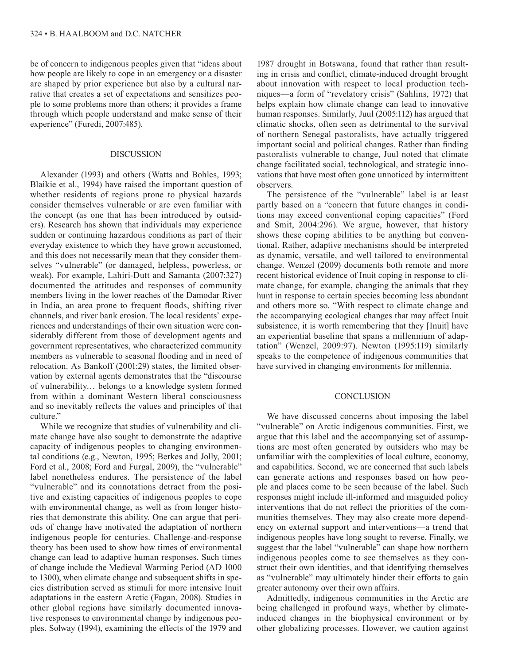be of concern to indigenous peoples given that "ideas about how people are likely to cope in an emergency or a disaster are shaped by prior experience but also by a cultural narrative that creates a set of expectations and sensitizes people to some problems more than others; it provides a frame through which people understand and make sense of their experience" (Furedi, 2007:485).

#### DISCUSSION

Alexander (1993) and others (Watts and Bohles, 1993; Blaikie et al., 1994) have raised the important question of whether residents of regions prone to physical hazards consider themselves vulnerable or are even familiar with the concept (as one that has been introduced by outsiders). Research has shown that individuals may experience sudden or continuing hazardous conditions as part of their everyday existence to which they have grown accustomed, and this does not necessarily mean that they consider themselves "vulnerable" (or damaged, helpless, powerless, or weak). For example, Lahiri-Dutt and Samanta (2007:327) documented the attitudes and responses of community members living in the lower reaches of the Damodar River in India, an area prone to frequent floods, shifting river channels, and river bank erosion. The local residents' experiences and understandings of their own situation were considerably different from those of development agents and government representatives, who characterized community members as vulnerable to seasonal flooding and in need of relocation. As Bankoff (2001:29) states, the limited observation by external agents demonstrates that the "discourse of vulnerability… belongs to a knowledge system formed from within a dominant Western liberal consciousness and so inevitably reflects the values and principles of that culture."

While we recognize that studies of vulnerability and climate change have also sought to demonstrate the adaptive capacity of indigenous peoples to changing environmental conditions (e.g., Newton, 1995; Berkes and Jolly, 2001; Ford et al., 2008; Ford and Furgal, 2009), the "vulnerable" label nonetheless endures. The persistence of the label "vulnerable" and its connotations detract from the positive and existing capacities of indigenous peoples to cope with environmental change, as well as from longer histories that demonstrate this ability. One can argue that periods of change have motivated the adaptation of northern indigenous people for centuries. Challenge-and-response theory has been used to show how times of environmental change can lead to adaptive human responses. Such times of change include the Medieval Warming Period (AD 1000 to 1300), when climate change and subsequent shifts in species distribution served as stimuli for more intensive Inuit adaptations in the eastern Arctic (Fagan, 2008). Studies in other global regions have similarly documented innovative responses to environmental change by indigenous peoples. Solway (1994), examining the effects of the 1979 and

1987 drought in Botswana, found that rather than resulting in crisis and conflict, climate-induced drought brought about innovation with respect to local production techniques—a form of "revelatory crisis" (Sahlins, 1972) that helps explain how climate change can lead to innovative human responses. Similarly, Juul (2005:112) has argued that climatic shocks, often seen as detrimental to the survival of northern Senegal pastoralists, have actually triggered important social and political changes. Rather than finding pastoralists vulnerable to change, Juul noted that climate change facilitated social, technological, and strategic innovations that have most often gone unnoticed by intermittent observers.

The persistence of the "vulnerable" label is at least partly based on a "concern that future changes in conditions may exceed conventional coping capacities" (Ford and Smit, 2004:296). We argue, however, that history shows these coping abilities to be anything but conventional. Rather, adaptive mechanisms should be interpreted as dynamic, versatile, and well tailored to environmental change. Wenzel (2009) documents both remote and more recent historical evidence of Inuit coping in response to climate change, for example, changing the animals that they hunt in response to certain species becoming less abundant and others more so. "With respect to climate change and the accompanying ecological changes that may affect Inuit subsistence, it is worth remembering that they [Inuit] have an experiential baseline that spans a millennium of adaptation" (Wenzel, 2009:97). Newton (1995:119) similarly speaks to the competence of indigenous communities that have survived in changing environments for millennia.

## **CONCLUSION**

We have discussed concerns about imposing the label "vulnerable" on Arctic indigenous communities. First, we argue that this label and the accompanying set of assumptions are most often generated by outsiders who may be unfamiliar with the complexities of local culture, economy, and capabilities. Second, we are concerned that such labels can generate actions and responses based on how people and places come to be seen because of the label. Such responses might include ill-informed and misguided policy interventions that do not reflect the priorities of the communities themselves. They may also create more dependency on external support and interventions—a trend that indigenous peoples have long sought to reverse. Finally, we suggest that the label "vulnerable" can shape how northern indigenous peoples come to see themselves as they construct their own identities, and that identifying themselves as "vulnerable" may ultimately hinder their efforts to gain greater autonomy over their own affairs.

Admittedly, indigenous communities in the Arctic are being challenged in profound ways, whether by climateinduced changes in the biophysical environment or by other globalizing processes. However, we caution against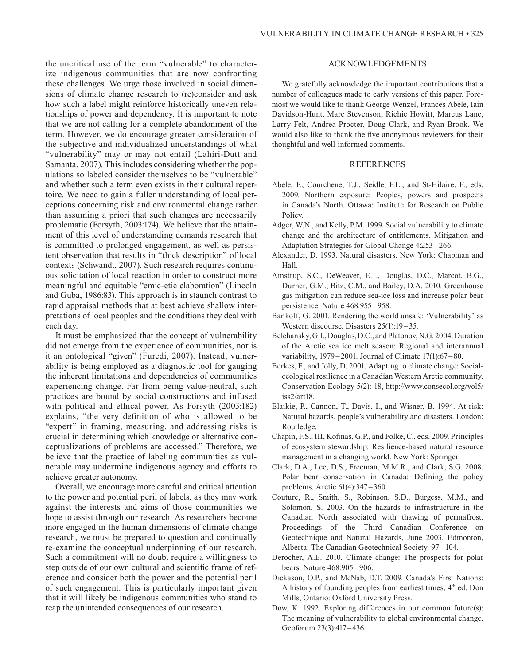the uncritical use of the term "vulnerable" to characterize indigenous communities that are now confronting these challenges. We urge those involved in social dimensions of climate change research to (re)consider and ask how such a label might reinforce historically uneven relationships of power and dependency. It is important to note that we are not calling for a complete abandonment of the term. However, we do encourage greater consideration of the subjective and individualized understandings of what "vulnerability" may or may not entail (Lahiri-Dutt and Samanta, 2007). This includes considering whether the populations so labeled consider themselves to be "vulnerable" and whether such a term even exists in their cultural repertoire. We need to gain a fuller understanding of local perceptions concerning risk and environmental change rather than assuming a priori that such changes are necessarily problematic (Forsyth, 2003:174). We believe that the attainment of this level of understanding demands research that is committed to prolonged engagement, as well as persistent observation that results in "thick description" of local contexts (Schwandt, 2007). Such research requires continuous solicitation of local reaction in order to construct more meaningful and equitable "emic-etic elaboration" (Lincoln and Guba, 1986:83). This approach is in staunch contrast to rapid appraisal methods that at best achieve shallow interpretations of local peoples and the conditions they deal with each day.

It must be emphasized that the concept of vulnerability did not emerge from the experience of communities, nor is it an ontological "given" (Furedi, 2007). Instead, vulnerability is being employed as a diagnostic tool for gauging the inherent limitations and dependencies of communities experiencing change. Far from being value-neutral, such practices are bound by social constructions and infused with political and ethical power. As Forsyth (2003:182) explains, "the very definition of who is allowed to be "expert" in framing, measuring, and addressing risks is crucial in determining which knowledge or alternative conceptualizations of problems are accessed." Therefore, we believe that the practice of labeling communities as vulnerable may undermine indigenous agency and efforts to achieve greater autonomy.

Overall, we encourage more careful and critical attention to the power and potential peril of labels, as they may work against the interests and aims of those communities we hope to assist through our research. As researchers become more engaged in the human dimensions of climate change research, we must be prepared to question and continually re-examine the conceptual underpinning of our research. Such a commitment will no doubt require a willingness to step outside of our own cultural and scientific frame of reference and consider both the power and the potential peril of such engagement. This is particularly important given that it will likely be indigenous communities who stand to reap the unintended consequences of our research.

## ACKNOWLEDGEMENTS

We gratefully acknowledge the important contributions that a number of colleagues made to early versions of this paper. Foremost we would like to thank George Wenzel, Frances Abele, Iain Davidson-Hunt, Marc Stevenson, Richie Howitt, Marcus Lane, Larry Felt, Andrea Procter, Doug Clark, and Ryan Brook. We would also like to thank the five anonymous reviewers for their thoughtful and well-informed comments.

#### **REFERENCES**

- Abele, F., Courchene, T.J., Seidle, F.L., and St-Hilaire, F., eds. 2009. Northern exposure: Peoples, powers and prospects in Canada's North. Ottawa: Institute for Research on Public Policy.
- Adger, W.N., and Kelly, P.M. 1999. Social vulnerability to climate change and the architecture of entitlements. Mitigation and Adaptation Strategies for Global Change 4:253 – 266.
- Alexander, D. 1993. Natural disasters. New York: Chapman and Hall.
- Amstrup, S.C., DeWeaver, E.T., Douglas, D.C., Marcot, B.G., Durner, G.M., Bitz, C.M., and Bailey, D.A. 2010. Greenhouse gas mitigation can reduce sea-ice loss and increase polar bear persistence. Nature 468:955 – 958.
- Bankoff, G. 2001. Rendering the world unsafe: 'Vulnerability' as Western discourse. Disasters 25(1):19–35.
- Belchansky, G.I., Douglas, D.C., and Platonov, N.G. 2004. Duration of the Arctic sea ice melt season: Regional and interannual variability, 1979-2001. Journal of Climate 17(1):67-80.
- Berkes, F., and Jolly, D. 2001. Adapting to climate change: Socialecological resilience in a Canadian Western Arctic community. Conservation Ecology 5(2): 18, http://www.consecol.org/vol5/ iss2/art18.
- Blaikie, P., Cannon, T., Davis, I., and Wisner, B. 1994. At risk: Natural hazards, people's vulnerability and disasters. London: Routledge.
- Chapin, F.S., III, Kofinas, G.P., and Folke, C., eds. 2009. Principles of ecosystem stewardship: Resilience-based natural resource management in a changing world. New York: Springer.
- Clark, D.A., Lee, D.S., Freeman, M.M.R., and Clark, S.G. 2008. Polar bear conservation in Canada: Defining the policy problems. Arctic 61(4):347–360.
- Couture, R., Smith, S., Robinson, S.D., Burgess, M.M., and Solomon, S. 2003. On the hazards to infrastructure in the Canadian North associated with thawing of permafrost. Proceedings of the Third Canadian Conference on Geotechnique and Natural Hazards, June 2003. Edmonton, Alberta: The Canadian Geotechnical Society. 97 –104.
- Derocher, A.E. 2010. Climate change: The prospects for polar bears. Nature 468:905–906.
- Dickason, O.P., and McNab, D.T. 2009. Canada's First Nations: A history of founding peoples from earliest times, 4th ed. Don Mills, Ontario: Oxford University Press.
- Dow, K. 1992. Exploring differences in our common future(s): The meaning of vulnerability to global environmental change. Geoforum 23(3):417–436.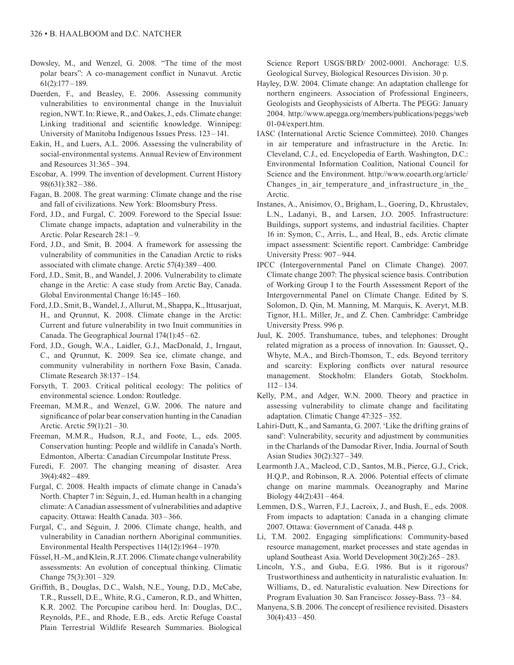- Dowsley, M., and Wenzel, G. 2008. "The time of the most polar bears": A co-management conflict in Nunavut. Arctic 61(2):177 –189.
- Duerden, F., and Beasley, E. 2006. Assessing community vulnerabilities to environmental change in the Inuvialuit region, NWT. In: Riewe, R., and Oakes, J., eds. Climate change: Linking traditional and scientific knowledge. Winnipeg: University of Manitoba Indigenous Issues Press. 123 –141.
- Eakin, H., and Luers, A.L. 2006. Assessing the vulnerability of social-environmental systems. Annual Review of Environment and Resources 31:365 – 394.
- Escobar, A. 1999. The invention of development. Current History 98(631):382–386.
- Fagan, B. 2008. The great warming: Climate change and the rise and fall of civilizations. New York: Bloomsbury Press.
- Ford, J.D., and Furgal, C. 2009. Foreword to the Special Issue: Climate change impacts, adaptation and vulnerability in the Arctic. Polar Research 28:1 –9.
- Ford, J.D., and Smit, B. 2004. A framework for assessing the vulnerability of communities in the Canadian Arctic to risks associated with climate change. Arctic 57(4):389 – 400.
- Ford, J.D., Smit, B., and Wandel, J. 2006. Vulnerability to climate change in the Arctic: A case study from Arctic Bay, Canada. Global Environmental Change 16:145 –160.
- Ford, J.D., Smit, B., Wandel, J., Allurut, M., Shappa, K., Ittusarjuat, H., and Qrunnut, K. 2008. Climate change in the Arctic: Current and future vulnerability in two Inuit communities in Canada. The Geographical Journal 174(1):45 –62.
- Ford, J.D., Gough, W.A., Laidler, G.J., MacDonald, J., Irngaut, C., and Qrunnut, K. 2009. Sea ice, climate change, and community vulnerability in northern Foxe Basin, Canada. Climate Research 38:137–154.
- Forsyth, T. 2003. Critical political ecology: The politics of environmental science. London: Routledge.
- Freeman, M.M.R., and Wenzel, G.W. 2006. The nature and significance of polar bear conservation hunting in the Canadian Arctic. Arctic 59(1):21–30.
- Freeman, M.M.R., Hudson, R.J., and Foote, L., eds. 2005. Conservation hunting: People and wildlife in Canada's North. Edmonton, Alberta: Canadian Circumpolar Institute Press.
- Furedi, F. 2007. The changing meaning of disaster. Area 39(4):482–489.
- Furgal, C. 2008. Health impacts of climate change in Canada's North. Chapter 7 in: Séguin, J., ed. Human health in a changing climate: A Canadian assessment of vulnerabilities and adaptive capacity. Ottawa: Health Canada. 303 –366.
- Furgal, C., and Séguin, J. 2006. Climate change, health, and vulnerability in Canadian northern Aboriginal communities. Environmental Health Perspectives 114(12):1964 – 1970.
- Füssel, H.-M., and Klein, R.J.T. 2006. Climate change vulnerability assessments: An evolution of conceptual thinking. Climatic Change 75(3):301–329.
- Griffith, B., Douglas, D.C., Walsh, N.E., Young, D.D., McCabe, T.R., Russell, D.E., White, R.G., Cameron, R.D., and Whitten, K.R. 2002. The Porcupine caribou herd. In: Douglas, D.C., Reynolds, P.E., and Rhode, E.B., eds. Arctic Refuge Coastal Plain Terrestrial Wildlife Research Summaries. Biological

Science Report USGS/BRD/ 2002-0001. Anchorage: U.S. Geological Survey, Biological Resources Division. 30 p.

- Hayley, D.W. 2004. Climate change: An adaptation challenge for northern engineers. Association of Professional Engineers, Geologists and Geophysicists of Alberta. The PEGG: January 2004. http://www.apegga.org/members/publications/peggs/web 01-04/expert.htm.
- IASC (International Arctic Science Committee). 2010. Changes in air temperature and infrastructure in the Arctic. In: Cleveland, C.J., ed. Encyclopedia of Earth. Washington, D.C.: Environmental Information Coalition, National Council for Science and the Environment. http://www.eoearth.org/article/ Changes\_in\_air\_temperature\_and\_infrastructure\_in\_the\_ Arctic.
- Instanes, A., Anisimov, O., Brigham, L., Goering, D., Khrustalev, L.N., Ladanyi, B., and Larsen, J.O. 2005. Infrastructure: Buildings, support systems, and industrial facilities. Chapter 16 in: Symon, C., Arris, L., and Heal, B., eds. Arctic climate impact assessment: Scientific report. Cambridge: Cambridge University Press: 907–944.
- IPCC (Intergovernmental Panel on Climate Change). 2007. Climate change 2007: The physical science basis. Contribution of Working Group I to the Fourth Assessment Report of the Intergovernmental Panel on Climate Change. Edited by S. Solomon, D. Qin, M. Manning, M. Marquis, K. Averyt, M.B. Tignor, H.L. Miller, Jr., and Z. Chen. Cambridge: Cambridge University Press. 996 p.
- Juul, K. 2005. Transhumance, tubes, and telephones: Drought related migration as a process of innovation. In: Gausset, Q., Whyte, M.A., and Birch-Thomson, T., eds. Beyond territory and scarcity: Exploring conflicts over natural resource management. Stockholm: Elanders Gotab, Stockholm. 112–134.
- Kelly, P.M., and Adger, W.N. 2000. Theory and practice in assessing vulnerability to climate change and facilitating adaptation. Climatic Change 47:325 –352.
- Lahiri-Dutt, K., and Samanta, G. 2007. 'Like the drifting grains of sand': Vulnerability, security and adjustment by communities in the Charlands of the Damodar River, India. Journal of South Asian Studies 30(2):327–349.
- Learmonth J.A., Macleod, C.D., Santos, M.B., Pierce, G.J., Crick, H.Q.P., and Robinson, R.A. 2006. Potential effects of climate change on marine mammals. Oceanography and Marine Biology  $44(2)$ : $431 - 464$ .
- Lemmen, D.S., Warren, F.J., Lacroix, J., and Bush, E., eds. 2008. From impacts to adaptation: Canada in a changing climate 2007. Ottawa: Government of Canada. 448 p.
- Li, T.M. 2002. Engaging simplifications: Community-based resource management, market processes and state agendas in upland Southeast Asia. World Development 30(2):265 –283.
- Lincoln, Y.S., and Guba, E.G. 1986. But is it rigorous? Trustworthiness and authenticity in naturalistic evaluation. In: Williams, D., ed. Naturalistic evaluation. New Directions for Program Evaluation 30. San Francisco: Jossey-Bass. 73 –84.
- Manyena, S.B. 2006. The concept of resilience revisited. Disasters 30(4):433 –450.